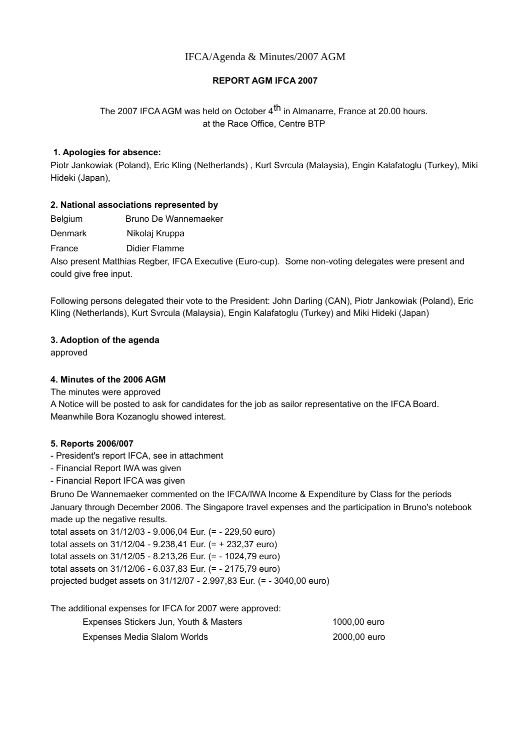# IFCA/Agenda & Minutes/2007 AGM

# **REPORT AGM IFCA 2007**

# The 2007 IFCA AGM was held on October 4<sup>th</sup> in Almanarre, France at 20.00 hours. at the Race Office, Centre BTP

### **1. Apologies for absence:**

Piotr Jankowiak (Poland), Eric Kling (Netherlands) , Kurt Svrcula (Malaysia), Engin Kalafatoglu (Turkey), Miki Hideki (Japan),

### **2. National associations represented by**

Belgium Bruno De Wannemaeker

Denmark Nikolaj Kruppa

France Didier Flamme

Also present Matthias Regber, IFCA Executive (Euro-cup). Some non-voting delegates were present and could give free input.

Following persons delegated their vote to the President: John Darling (CAN), Piotr Jankowiak (Poland), Eric Kling (Netherlands), Kurt Svrcula (Malaysia), Engin Kalafatoglu (Turkey) and Miki Hideki (Japan)

### **3. Adoption of the agenda**

approved

### **4. Minutes of the 2006 AGM**

The minutes were approved

A Notice will be posted to ask for candidates for the job as sailor representative on the IFCA Board. Meanwhile Bora Kozanoglu showed interest.

### **5. Reports 2006/007**

- President's report IFCA, see in attachment
- Financial Report IWA was given
- Financial Report IFCA was given

Bruno De Wannemaeker commented on the IFCA/IWA Income & Expenditure by Class for the periods January through December 2006. The Singapore travel expenses and the participation in Bruno's notebook made up the negative results.

total assets on 31/12/03 - 9.006,04 Eur. (= - 229,50 euro) total assets on 31/12/04 - 9.238,41 Eur. (= + 232,37 euro) total assets on 31/12/05 - 8.213,26 Eur. (= - 1024,79 euro) total assets on 31/12/06 - 6.037,83 Eur. (= - 2175,79 euro) projected budget assets on 31/12/07 - 2.997,83 Eur. (= - 3040,00 euro)

The additional expenses for IFCA for 2007 were approved:

| Expenses Stickers Jun, Youth & Masters | 1000.00 euro |
|----------------------------------------|--------------|
| Expenses Media Slalom Worlds           | 2000.00 euro |